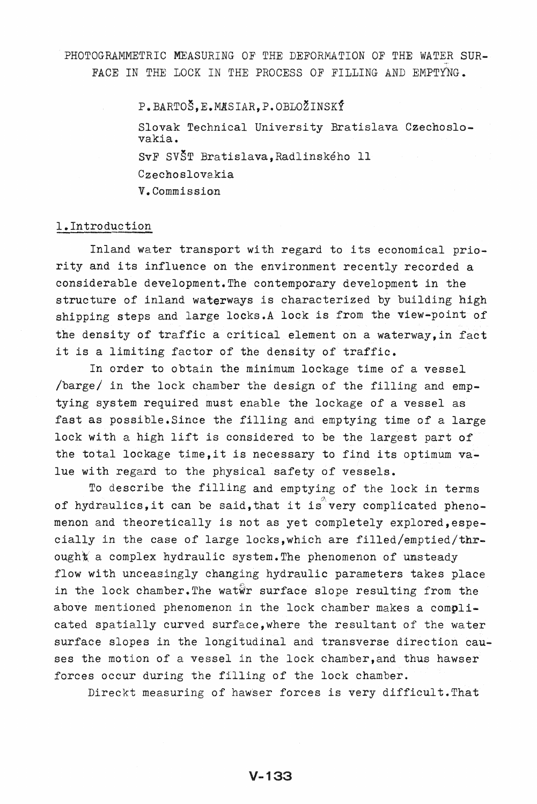PHOTOGRAMMETRIC MEASURING OF THE DEFORMATION OF THE WATER SUR-FACE IN THE LOCK IN THE PROCESS OF FILLING AND EMPTYNG.

> P.BARTOŠ.E.MASIAR.P.OBLOŽINSKÝ Slovak Technical University Bratislava Czechoslovakia. SvF SV8T Bratislava,Radlinskeho 11 Czechoslovakia V. Commission

# 1.Introduction

Inland water transport with regard to its economical priority and its influence on the environment recently recorded a considerable development. The contemporary development in the structure of inland waterways is characterized by building high shipping steps and large locks.A lock is from the view-point of the density of traffic a critical element on a waterway,in fact it is a limiting factor of the density of traffic.

In order to obtain the minimum lockage time of a vessel /barge/ in the lock chamber the design of the filling and emptying system required must enable the lockage of a vessel as fast as possible.Since the filling and emptying time of a large lock with a high lift is considered to be the largest part of the total lockage time, it is necessary to find its optimum value with regard to the physical safety of vessels.

To describe the filling and emptying of the lock in terms of hydraulics, it can be said, that it is very complicated phenomenon and theoretically is not as yet completely explored,especially in the case of large locks,which are filled/emptied/thr- $\texttt{oughx}$  a complex hydraulic system. The phenomenon of unsteady flow with unceasingly changing hydraulic parameters takes place in the lock chamber. The watwr surface slope resulting from the above mentioned phenomenon in the lock chamber makes a complicated spatially curved surface,where the resultant of the water surface slopes in the longitudinal and transverse direction causes the motion of a vessel in the lock chamber, and thus hawser forces occur during the filling of the lock chamber.

Direckt measuring of hawser forces is very difficult. That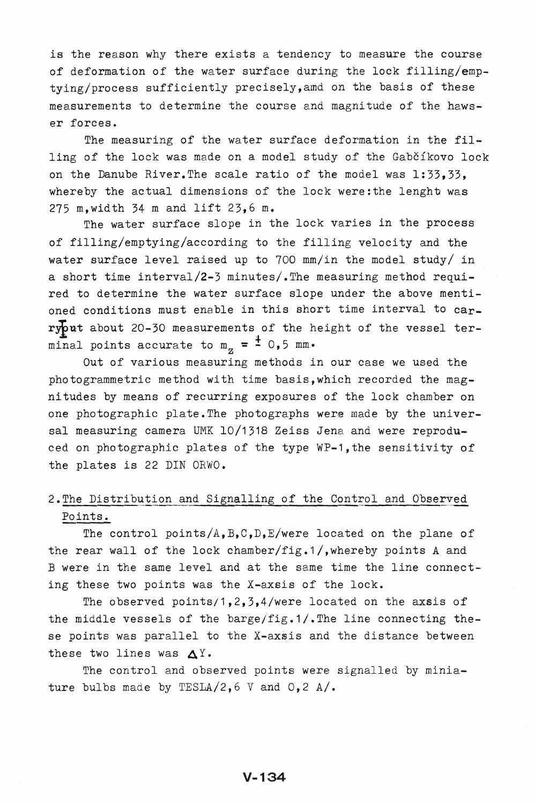is the reason why there exists a tendency to measure the course of deformation of the water surface during the lock filling/emptying/process sufficiently precisely,amd on the basis of these measurements to determine the course and magnitude of the hawser forces.

The measuring of the water surface deformation in the filling of the lock was made on a model study of the Gabčíkovo lock on the Danube River.The scale ratio of the model was 1:33,33, whereby the actual dimensions of the lock were: the lenght was 275 m,width 34 m and lift 23,6 m.

The water surface slope in the lock varies in the process of filling/emptying/according to the filling velocity and the water surface level raised up to 700 mm/in the model study/ in a short time interval/2-3 minutes/.The measuring method required to determine the water surface slope under the above mentioned conditions must enable in this short time interval to carry put about 20-30 measurements of the height of the vessel terminal points accurate to  $m_{z} = \frac{4}{5}$  0,5 mm.

Out of various measuring methods in our case we used the photogrammetric method with time basis, which recorded the magnitudes by means of recurring exposures of the lock chamber on one photographic plate.The photographs were made by the universal measuring camera UMK 10/1318 Zeiss Jena and were reproduced on photographic plates of the type WP-1, the sensitivity of the plates is 22 DIN ORWO.

# 2. The Distribution and Signalling of the Control and Observed Points.

The control points/A,  $B, C, D, E/$ were located on the plane of the rear wall of the lock chamber/fig.1/,whereby points A and B were in the same level and at the same time the line connecting these two points was the X-axsis of the lock.

The observed points/1,2,3,4/were located on the axsis of the middle vessels of the barge/fig.1/. The line connecting these points was parallel to the X-axsis and the distance between these two lines was  $\Delta$ Y.

The control and observed points were signalled by miniature bulbs made by TESLA/2,  $6$  V and  $0, 2$  A/.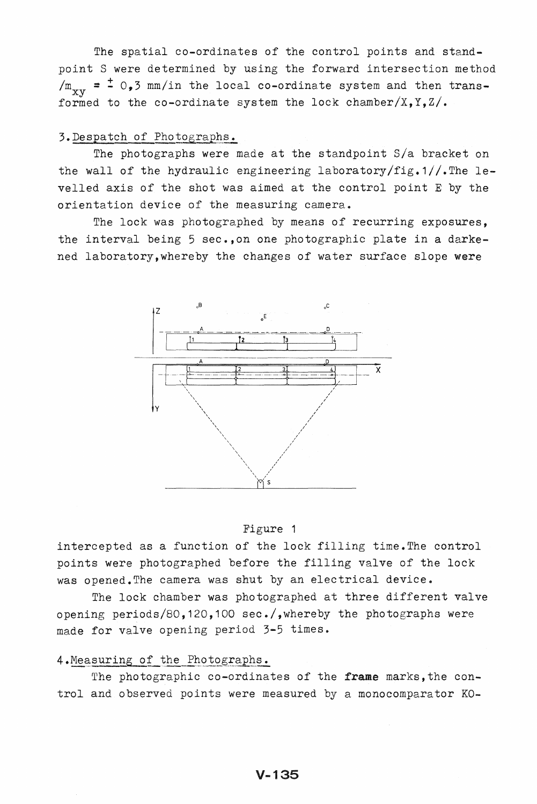The spatial co-ordinates of the control points and standpoint S were determined by using the forward intersection method  $/m_{\rm xy}$  =  $\pm$  0,3 mm/in the local co-ordinate system and then transformed to the co-ordinate system the lock chamber/X,  $Y$ ,  $Z/$ .

# 3. Despatch of Photographs.

The photographs were made at the standpoint S/a bracket on the wall of the hydraulic engineering laboratory/fig.1//. The levelled axis of the shot was aimed at the control point E by the orientation device of the measuring camera.

The lock was photographed by means of recurring exposures, the interval being 5 sec.,on one photographic plate in a darkened laboratory, whereby the changes of water surface slope were



#### Figure 1

intercepted as a function of the lock filling time.The control points were photographed before the filling valve of the lock was opened. The camera was shut by an electrical device.

The lock chamber was photographed at three different valve opening periods/80,120,100 sec./,whereby the photographs were made for valve opening period 3-5 times.

# 4. Measuring of the Photographs.

The photographic co-ordinates of the frame marks, the control and observed points were measured by a monocomparator KO-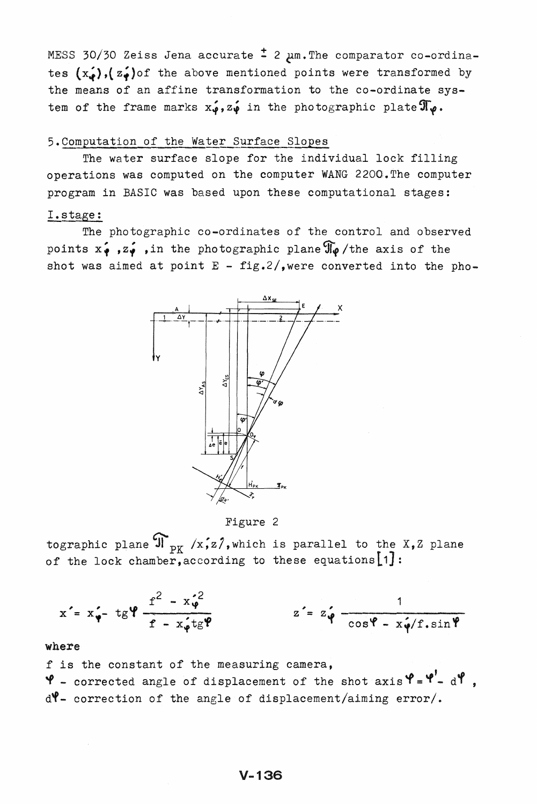MESS 30/30 Zeiss Jena accurate  $\pm$  2  $\mu$ m. The comparator co-ordinates  $(x_*)$ ,  $(z_*)$  of the above mentioned points were transformed by the means of an affine transformation to the co-ordinate system of the frame marks  $x_{\varphi}$ ,  $z_{\varphi}$  in the photographic plate  $\mathfrak{T}_{\varphi}$ .

# 5. Computation of the Water Surface Slopes

The water surface slope for the individual lock filling operations was computed on the computer WANG 2200.The computer program in BASIC was based upon these computational stages:

# I.stage:

The photographic co-ordinates of the control and observed points  $x_{\varphi}$ ,  $z_{\varphi}$ , in the photographic plane  $\Re$  /the axis of the shot was aimed at point  $E - fig.2/$ , were converted into the pho-



Figure 2

tographic plane  $\mathfrak{N}_{\mathbf{p}_K}$  /x,z/, which is parallel to the X,Z plane of the lock chamber, according to these equations  $[1]$ :

$$
x' = x'_{\varphi} - tg\varphi \frac{f^2 - x'_{\varphi}^2}{f - x'_{\varphi}tg\varphi}
$$
 
$$
z' = z'_{\varphi} \frac{1}{\cos \varphi - x'_{\varphi}/f \cdot \sin \varphi}
$$

# where

f is the constant of the measuring camera,  $\mathbf{\Psi}$  - corrected angle of displacement of the shot  $axis' = \mathbf{\Psi}' - d'$ , d'f- correction of the angle of displacement/aiming error/.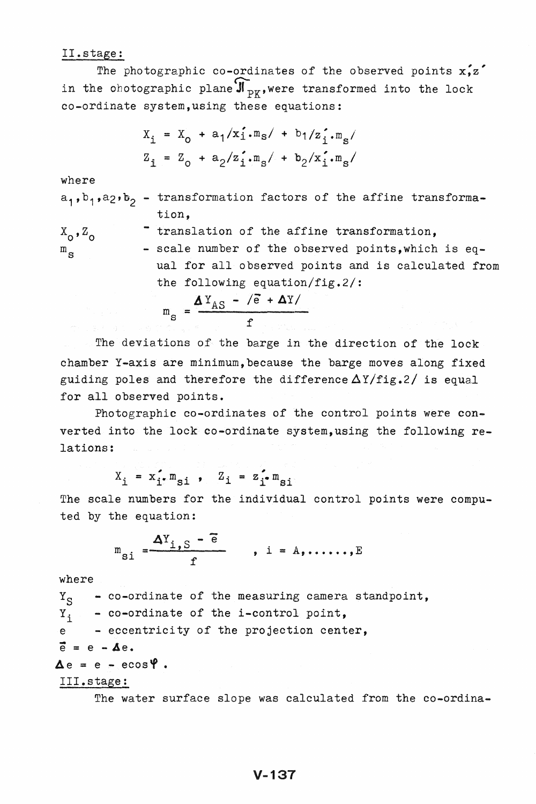II.stage:<br>The photographic co-ordinates of the observed points  $x, z'$ in the obotographic plane  $\mathbf{\mathfrak{F}_{\texttt{p}}}_{\texttt{p}}$ , were transformed into the lock co-ordinate system,using these equations:

$$
X_{\mathbf{i}} = X_0 + a_1/x_{\mathbf{i}} \cdot m_{\mathbf{s}} / + b_1/z_{\mathbf{i}}' \cdot m_{\mathbf{s}} /
$$
  

$$
Z_{\mathbf{i}} = Z_0 + a_2/z_{\mathbf{i}}' \cdot m_{\mathbf{s}} / + b_2/x_{\mathbf{i}}' \cdot m_{\mathbf{s}} /
$$

where

 $a_1$ ,  $b_1$ ,  $a_2$ ,  $b_2$  - transformation factors of the affine transformation,

$$
X_0, Z_0
$$
 translation of the affine transformation,  
\n
$$
m_S
$$
 scale number of the observed points, which is equal for all observed points and is calculated from  
\nthe following equation/fig.2/:  
\n
$$
m_S = \frac{\Delta Y_{AS} - \sqrt{e} + \Delta Y}{f}
$$

The deviations of the barge in the direction of the lock chamber Y-axis are minimum, because the barge moves along fixed guiding poles and therefore the difference  $\Delta Y/fig.2/$  is equal for all observed points.

Photographic co-ordinates of the control points were converted into the lock co-ordinate system, using the following relations:

$$
X_{i} = x_{i}^{\prime} \cdot m_{si} , Z_{i} = z_{i}^{\prime} \cdot m_{si}
$$

The scale numbers for the individual control points were computed by the equation:

$$
m_{\text{si}} = \frac{\Delta Y_{i, \text{S}} - \tilde{e}}{f}, \quad i = A, \dots, E
$$

where

 $Y_S$  - co-ordinate of the measuring camera standpoint,<br> $Y_3$  - co-ordinate of the i-control point, - co-ordinate of the i-control point, e - eccentricity of the projection center,  $\vec{e} = e - \Delta e.$  $\Delta e = e - e \cos \Psi$ . III.stage:

The water surface slope was calculated from the co-ordina-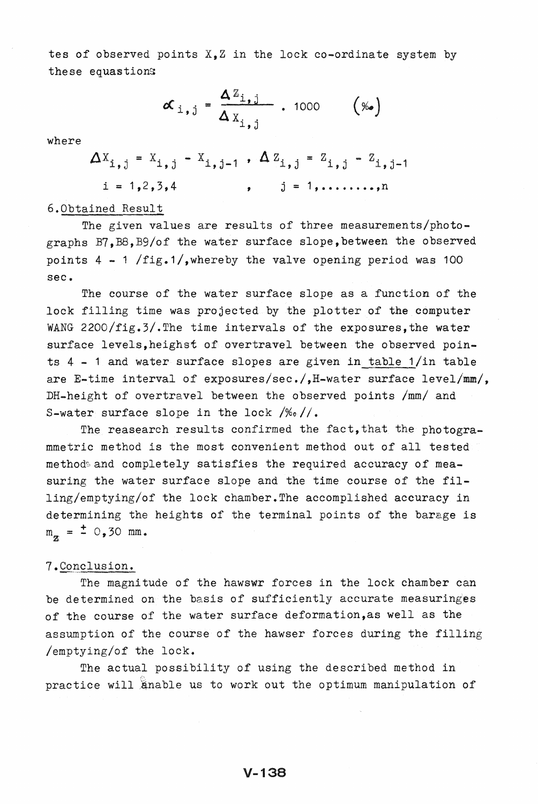tes of observed points  $X_{\bullet}Z$  in the lock co-ordinate system by these equastions

$$
\boldsymbol{\alpha}_{i,j} = \frac{\boldsymbol{\Delta} Z_{i,j}}{\boldsymbol{\Delta} X_{i,j}} \quad . \quad 1000 \quad (\%)
$$

where

$$
\Delta X_{i,j} = X_{i,j} - X_{i,j-1}
$$
,  $\Delta Z_{i,j} = Z_{i,j} - Z_{i,j-1}$   
 $i = 1,2,3,4$ ,  $j = 1,...$ 

#### 6.0btained Result

The given values are results of three measurements/photographs B7,B8,B9/of the water surface slope, between the observed points  $4 - 1$  /fig.1/, whereby the valve opening period was 100 sec.

The course of the water surface slope as a function of the lock filling time was projected by the plotter of the computer WANG 2200/fig.3/. The time intervals of the exposures, the water surface levels, heighst of overtravel between the observed points  $4 - 1$  and water surface slopes are given in table  $1/in$  table are E-time interval of exposures/sec./,H-water surface level/mm/, DH-height of overtravel between the observed points /mm/ and S-water surface slope in the lock */%0/1.* 

The reasearch results confirmed the fact, that the photogrammetric method is the most convenient method out of all tested methods and completely satisfies the required accuracy of measuring the water surface slope and the time course of the filling/emptying/of the lock chamber. The accomplished accuracy in determining the heights of the terminal points of the barage is  $m_{\pi} = \pm 0,30$  mm.

# 7. Conclusion.

The magnitude of the hawswr forces in the lock chamber can be determined on the basis of sufficiently accurate measuringes of the course of the water surface deformation,as well as the assumption of the course of the hawser forces during the filling /emptying/of the lock.

The actual possibility of using the described method in practice will anable us to work out the optimum manipulation of

# $V - 138$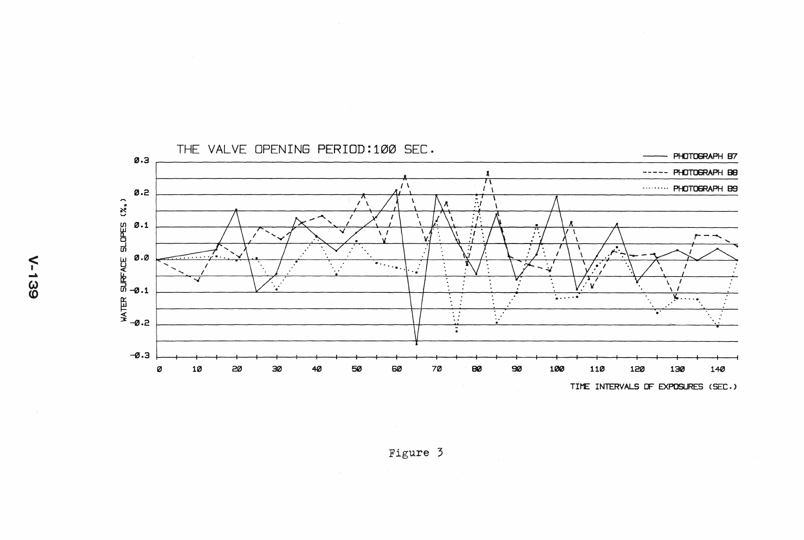

Figure 3

**N-139**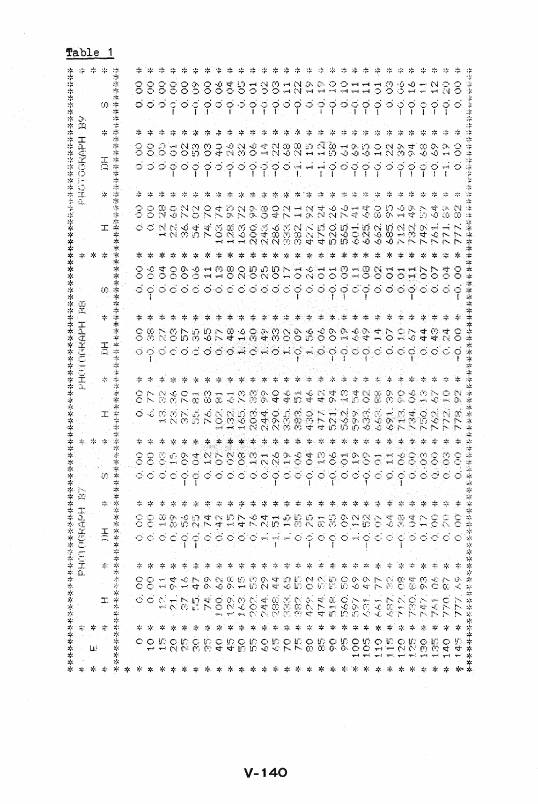| ∗<br>×.  | 李芬芬                          | ********                           |                                  |                      | 本本本本本本本本本本本本本          |                                  |         | *                             |                           |                 |   |             |         |        |                              |                                   |                     |   |    |                                   |    |  |  |
|----------|------------------------------|------------------------------------|----------------------------------|----------------------|------------------------|----------------------------------|---------|-------------------------------|---------------------------|-----------------|---|-------------|---------|--------|------------------------------|-----------------------------------|---------------------|---|----|-----------------------------------|----|--|--|
| ∗.       | ÷.                           |                                    |                                  |                      | HARCHER CLIFT          |                                  |         | уĻ,                           |                           |                 |   | Ŧ<br>T      | Œ,<br>x | I<br>1 | ı                            |                                   |                     |   |    |                                   | Ľ, |  |  |
| 岑        | 苓<br>ш                       |                                    |                                  |                      |                        |                                  |         |                               |                           | * *             |   |             |         |        |                              |                                   | 次 水                 |   |    |                                   |    |  |  |
| 34       | 宗                            | ᆍ                                  |                                  | $\mathcal{I}_\Gamma$ |                        | 玉                                |         |                               |                           |                 | I |             | 舌。      | ж      |                              |                                   |                     | 工 | 亭。 | 舌                                 | ⊹  |  |  |
| ф,<br>ф. | 李琴琴等                         | *****************                  |                                  |                      |                        |                                  | 楽々<br>÷ | ∗                             |                           |                 |   |             |         |        |                              |                                   |                     |   |    |                                   |    |  |  |
| 58.      |                              |                                    |                                  |                      |                        |                                  |         |                               |                           |                 |   |             |         |        |                              |                                   |                     |   |    |                                   |    |  |  |
| - 25:    | 本                            |                                    |                                  |                      |                        | 8                                |         |                               |                           |                 |   |             |         |        |                              |                                   |                     |   |    |                                   |    |  |  |
|          | ₩                            |                                    | 88<br>$\subset$                  | ≈                    |                        | 8                                |         | ဝဝဝဝဝဝဝဝဝဝဝဝဝဝဝဝဝဝဝဝဝဝဝဝဝဝဝဝဝ | OOCLOOHOOOHNNHOOHOOHOOHOO |                 |   | * * * * * * |         |        | ဝဝဝဝဝဝဝဝဝဝဝဝဝဝဝဝဝဝဝဝဝဝဝဝဝဝဝဝ | 000000000000000000000000000000000 | 幸 幸                 |   |    | ၜၜၜၜၜၜၜၜၜၜၜၜၟၜၟၜၟၜၟၛၛၜၯၜၜၜၜၜၜၜၜၟၣ |    |  |  |
|          | 卒<br>Ш.                      |                                    | 틐<br>$\mathcal{C}^{\mathcal{A}}$ | ÷.                   |                        | $\mathbb{C}$                     | ÷.      |                               |                           |                 |   |             |         |        |                              |                                   |                     |   |    |                                   |    |  |  |
|          | Ψ                            | $\overline{\phantom{m}}$<br>$-1.1$ | ू<br>प                           | ∗                    |                        | $\frac{\infty}{10}$<br>$\subset$ |         |                               |                           |                 |   |             |         |        |                              |                                   |                     |   |    |                                   |    |  |  |
|          | 卒<br>ដន្តន                   | P.<br>$\mathcal{O}_\mathcal{C}$    |                                  | ∗                    | ှ                      | ř.                               |         |                               |                           |                 |   |             |         |        |                              |                                   |                     |   |    |                                   |    |  |  |
|          | ₩<br>Ş.                      | 恩                                  | $\frac{3}{4}$                    | -55                  | ငှ                     | 육                                | Э.      |                               |                           |                 |   |             |         |        |                              |                                   |                     |   |    |                                   |    |  |  |
|          | ÷.<br>Įб.                    | 74.                                | 828                              | -25                  | 00                     |                                  | 추       |                               |                           |                 |   |             |         |        |                              |                                   |                     |   |    |                                   |    |  |  |
|          | 宗<br>$\mathcal{L}$           | $\hat{\mathcal{E}}$                |                                  | -75                  |                        |                                  | -75     |                               |                           |                 |   |             |         |        |                              |                                   |                     |   |    |                                   |    |  |  |
|          | ∗<br>42<br>ਚ                 |                                    |                                  | -26                  |                        |                                  | -74     |                               |                           |                 |   |             |         |        |                              |                                   |                     |   |    |                                   |    |  |  |
| ∗        | - *                          |                                    |                                  | 28<br>-89            |                        |                                  | ∹≍      |                               |                           |                 |   |             |         |        |                              |                                   |                     |   |    |                                   |    |  |  |
| ж.       | ∗<br>96<br>Bib               | 898                                | S                                | ÷                    |                        |                                  | ್ಲ      |                               |                           | * * * * * * * * |   |             |         |        |                              |                                   |                     |   |    |                                   |    |  |  |
|          | - 25                         |                                    | ्<br>२                           | 夲                    |                        |                                  | 28      |                               |                           |                 |   |             |         |        |                              |                                   |                     |   |    |                                   |    |  |  |
| ≫        | - sp.                        |                                    |                                  | -77                  |                        |                                  | ∗       |                               |                           |                 |   |             |         |        |                              |                                   |                     |   |    |                                   |    |  |  |
|          | ₩                            |                                    | 4 Q D                            | 28                   |                        |                                  | 29      |                               |                           |                 |   |             |         |        |                              |                                   |                     |   |    |                                   |    |  |  |
| -79      | 4.                           | VARION<br>VARO DE VA<br>VARO DE 4  |                                  | 辛                    |                        | メスロフ ちょししつりょう メンセンター             | ₩       |                               |                           |                 |   |             |         |        |                              |                                   | * * * * * * *       |   |    |                                   |    |  |  |
| ∗        | 字                            |                                    | ី                                | 4                    |                        |                                  | зκ.     |                               |                           |                 |   |             |         |        |                              |                                   |                     |   |    |                                   |    |  |  |
|          | ∗                            | 47.                                | ि<br>प                           | ÷                    |                        | $\subset$                        | ∗       |                               |                           |                 |   |             |         |        |                              |                                   | ∗                   |   |    |                                   |    |  |  |
| ₩        | *<br>ODODODODO<br>QONNOODODO | $\frac{8}{51}$                     | B                                | ή.                   | ငှ                     | 噐                                | 岑       |                               |                           |                 |   |             |         |        |                              |                                   | 幸                   |   |    |                                   |    |  |  |
|          | -75                          | $rac{6}{56}$                       | ္က                               | 23                   |                        | င်                               | -5      |                               |                           |                 |   |             |         |        |                              |                                   |                     |   |    |                                   |    |  |  |
|          | ∗                            | <b>SS</b>                          | Ğ9                               | 崇                    | $\circ$ $\sim$ $\circ$ | 은                                | -7      |                               |                           |                 |   |             |         |        |                              |                                   |                     |   |    |                                   |    |  |  |
|          | 辛<br>S.                      | 631                                | ्<br>प                           | ÷,                   |                        | ू<br>क                           | -4      |                               |                           | 宰 幸 卒 幸         |   |             |         |        |                              |                                   | * * * * * * * * * * |   |    |                                   |    |  |  |
|          | ₩                            | $\sim$<br>$\frac{1}{2}$            | $\mathcal{L}$                    | 岑                    | $\subset$              | ੇ                                | -58     |                               |                           |                 |   |             |         |        |                              |                                   |                     |   |    |                                   |    |  |  |
|          | ÷<br>5588                    | 587                                | S                                | $\sim$               | $\mathbb{C}$           | ु                                |         |                               |                           |                 |   |             |         |        |                              |                                   |                     |   |    |                                   |    |  |  |
|          | ☆.                           | 712.<br>730.                       |                                  | 4                    |                        | 꽃<br>پي                          |         |                               |                           |                 |   |             |         |        |                              |                                   |                     |   |    |                                   |    |  |  |
|          | -78                          |                                    | ा<br>प                           | 宗                    |                        | 3<br>$\circ$ $\circ$             |         |                               |                           |                 |   |             |         |        |                              |                                   |                     |   |    |                                   |    |  |  |
|          | *<br>$\mathbf{e}$            | $\mathbb{Z}$                       | ္ခ                               | Ą.                   |                        |                                  | -20     |                               |                           |                 |   |             |         |        |                              |                                   |                     |   |    |                                   |    |  |  |
|          | ÷<br>常さ                      | $\mathbb{R}^2$                     |                                  | ÷.                   |                        | $\widehat{\varepsilon}$          | 宗       |                               | 봉문                        |                 |   |             |         |        |                              |                                   |                     |   |    |                                   |    |  |  |
|          | 4.                           | $\subset$                          | င်                               | *                    |                        | Š                                | 28      |                               |                           |                 |   |             |         |        |                              |                                   |                     |   |    |                                   |    |  |  |
|          | ☆<br>Æ,<br>न्द               | $\mathcal{L}$                      | ×.                               | *<br>Ο.              | $\circ$                | $\widetilde{\Xi}$                | -5      |                               |                           |                 |   |             |         |        |                              |                                   |                     |   |    |                                   |    |  |  |
| *        | 家家安全学校学校学校学校学校学校学校学校学校       |                                    |                                  |                      |                        |                                  |         |                               |                           |                 |   |             |         |        |                              |                                   |                     |   |    |                                   |    |  |  |

Table 1

 $V - 140$